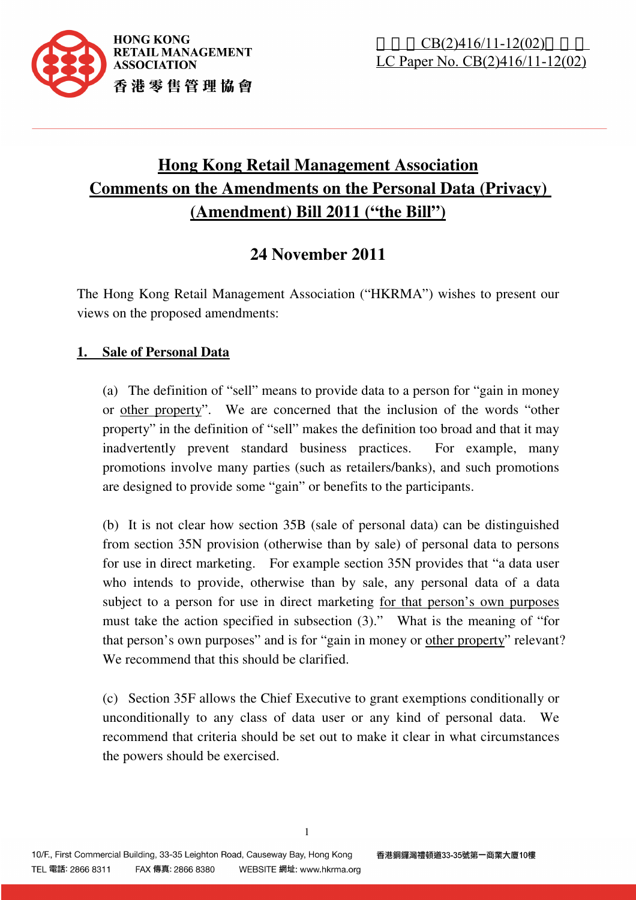

# **Hong Kong Retail Management Association Comments on the Amendments on the Personal Data (Privacy) (Amendment) Bill 2011 ("the Bill")**

# **24 November 2011**

The Hong Kong Retail Management Association ("HKRMA") wishes to present our views on the proposed amendments:

# **1. Sale of Personal Data**

(a) The definition of "sell" means to provide data to a person for "gain in money or other property". We are concerned that the inclusion of the words "other property" in the definition of "sell" makes the definition too broad and that it may inadvertently prevent standard business practices. For example, many promotions involve many parties (such as retailers/banks), and such promotions are designed to provide some "gain" or benefits to the participants.

(b) It is not clear how section 35B (sale of personal data) can be distinguished from section 35N provision (otherwise than by sale) of personal data to persons for use in direct marketing. For example section 35N provides that "a data user who intends to provide, otherwise than by sale, any personal data of a data subject to a person for use in direct marketing for that person's own purposes must take the action specified in subsection (3)." What is the meaning of "for that person's own purposes" and is for "gain in money or other property" relevant? We recommend that this should be clarified.

(c) Section 35F allows the Chief Executive to grant exemptions conditionally or unconditionally to any class of data user or any kind of personal data. We recommend that criteria should be set out to make it clear in what circumstances the powers should be exercised.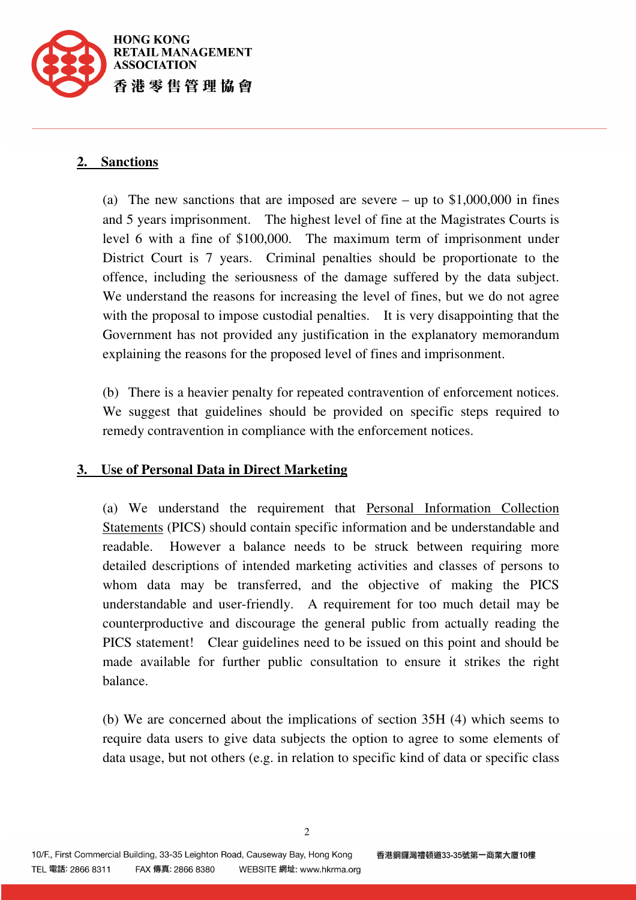

#### **2. Sanctions**

(a) The new sanctions that are imposed are severe – up to \$1,000,000 in fines and 5 years imprisonment. The highest level of fine at the Magistrates Courts is level 6 with a fine of \$100,000. The maximum term of imprisonment under District Court is 7 years. Criminal penalties should be proportionate to the offence, including the seriousness of the damage suffered by the data subject. We understand the reasons for increasing the level of fines, but we do not agree with the proposal to impose custodial penalties. It is very disappointing that the Government has not provided any justification in the explanatory memorandum explaining the reasons for the proposed level of fines and imprisonment.

(b) There is a heavier penalty for repeated contravention of enforcement notices. We suggest that guidelines should be provided on specific steps required to remedy contravention in compliance with the enforcement notices.

#### **3. Use of Personal Data in Direct Marketing**

(a) We understand the requirement that Personal Information Collection Statements (PICS) should contain specific information and be understandable and readable. However a balance needs to be struck between requiring more detailed descriptions of intended marketing activities and classes of persons to whom data may be transferred, and the objective of making the PICS understandable and user-friendly. A requirement for too much detail may be counterproductive and discourage the general public from actually reading the PICS statement! Clear guidelines need to be issued on this point and should be made available for further public consultation to ensure it strikes the right balance.

(b) We are concerned about the implications of section 35H (4) which seems to require data users to give data subjects the option to agree to some elements of data usage, but not others (e.g. in relation to specific kind of data or specific class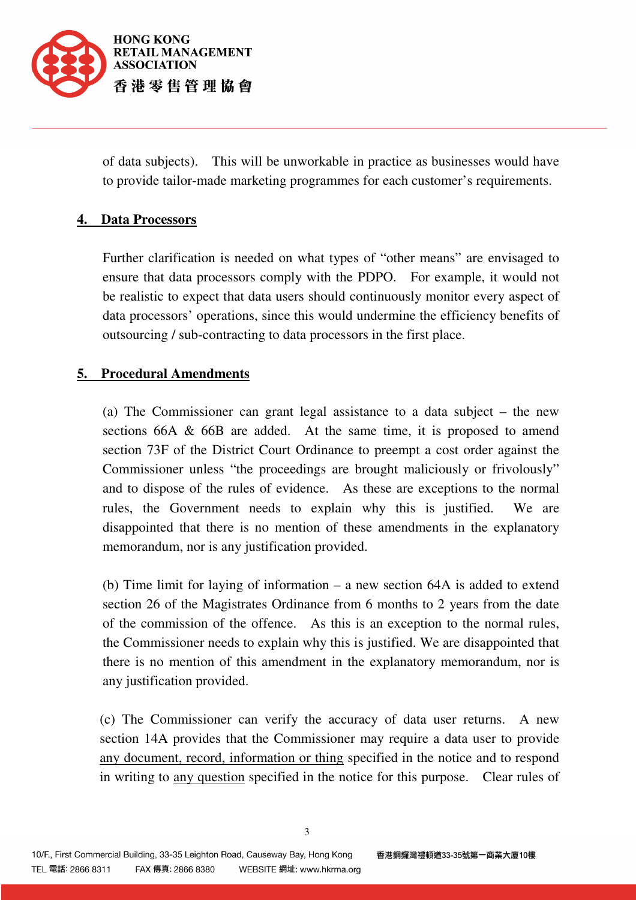

of data subjects). This will be unworkable in practice as businesses would have to provide tailor-made marketing programmes for each customer's requirements.

# **4. Data Processors**

Further clarification is needed on what types of "other means" are envisaged to ensure that data processors comply with the PDPO. For example, it would not be realistic to expect that data users should continuously monitor every aspect of data processors' operations, since this would undermine the efficiency benefits of outsourcing / sub-contracting to data processors in the first place.

# **5. Procedural Amendments**

(a) The Commissioner can grant legal assistance to a data subject – the new sections 66A & 66B are added. At the same time, it is proposed to amend section 73F of the District Court Ordinance to preempt a cost order against the Commissioner unless "the proceedings are brought maliciously or frivolously" and to dispose of the rules of evidence. As these are exceptions to the normal rules, the Government needs to explain why this is justified. We are disappointed that there is no mention of these amendments in the explanatory memorandum, nor is any justification provided.

(b) Time limit for laying of information – a new section 64A is added to extend section 26 of the Magistrates Ordinance from 6 months to 2 years from the date of the commission of the offence. As this is an exception to the normal rules, the Commissioner needs to explain why this is justified. We are disappointed that there is no mention of this amendment in the explanatory memorandum, nor is any justification provided.

(c) The Commissioner can verify the accuracy of data user returns. A new section 14A provides that the Commissioner may require a data user to provide any document, record, information or thing specified in the notice and to respond in writing to any question specified in the notice for this purpose. Clear rules of